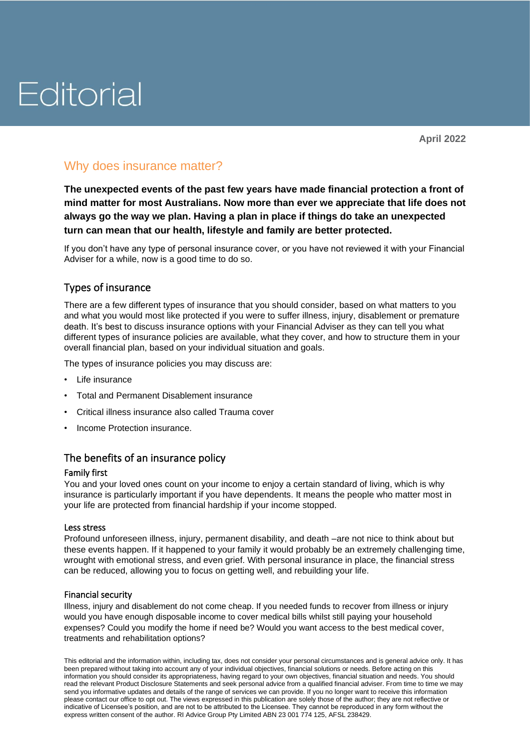# Editorial

## Why does insurance matter?

**The unexpected events of the past few years have made financial protection a front of mind matter for most Australians. Now more than ever we appreciate that life does not always go the way we plan. Having a plan in place if things do take an unexpected turn can mean that our health, lifestyle and family are better protected.**

If you don't have any type of personal insurance cover, or you have not reviewed it with your Financial Adviser for a while, now is a good time to do so.

### Types of insurance

There are a few different types of insurance that you should consider, based on what matters to you and what you would most like protected if you were to suffer illness, injury, disablement or premature death. It's best to discuss insurance options with your Financial Adviser as they can tell you what different types of insurance policies are available, what they cover, and how to structure them in your overall financial plan, based on your individual situation and goals.

The types of insurance policies you may discuss are:

- Life insurance
- Total and Permanent Disablement insurance
- Critical illness insurance also called Trauma cover
- Income Protection insurance.

#### The benefits of an insurance policy

#### Family first

You and your loved ones count on your income to enjoy a certain standard of living, which is why insurance is particularly important if you have dependents. It means the people who matter most in your life are protected from financial hardship if your income stopped.

#### Less stress

Profound unforeseen illness, injury, permanent disability, and death –are not nice to think about but these events happen. If it happened to your family it would probably be an extremely challenging time, wrought with emotional stress, and even grief. With personal insurance in place, the financial stress can be reduced, allowing you to focus on getting well, and rebuilding your life.

#### Financial security

Illness, injury and disablement do not come cheap. If you needed funds to recover from illness or injury would you have enough disposable income to cover medical bills whilst still paying your household expenses? Could you modify the home if need be? Would you want access to the best medical cover, treatments and rehabilitation options?

This editorial and the information within, including tax, does not consider your personal circumstances and is general advice only. It has been prepared without taking into account any of your individual objectives, financial solutions or needs. Before acting on this information you should consider its appropriateness, having regard to your own objectives, financial situation and needs. You should read the relevant Product Disclosure Statements and seek personal advice from a qualified financial adviser. From time to time we may send you informative updates and details of the range of services we can provide. If you no longer want to receive this information please contact our office to opt out. The views expressed in this publication are solely those of the author; they are not reflective or indicative of Licensee's position, and are not to be attributed to the Licensee. They cannot be reproduced in any form without the express written consent of the author. RI Advice Group Pty Limited ABN 23 001 774 125, AFSL 238429.